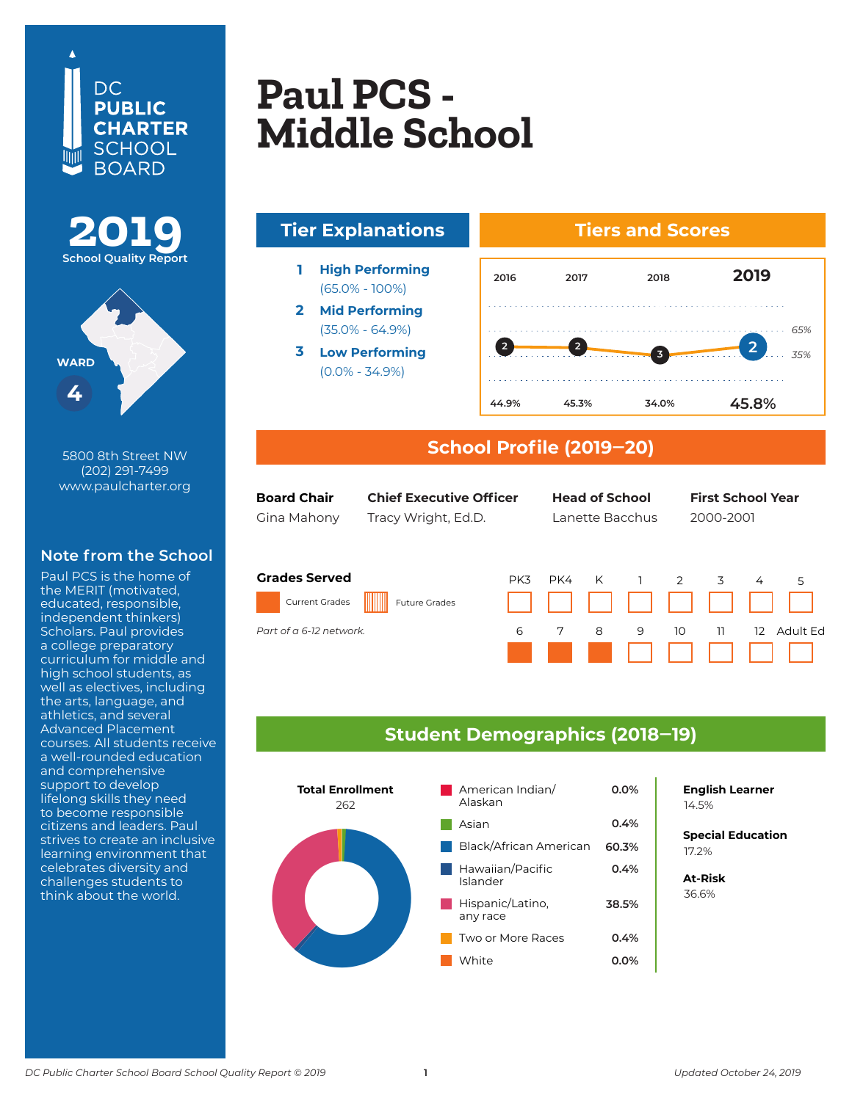





5800 8th Street NW (202) 291-7499 www.paulcharter.org

## **Note from the School**

Paul PCS is the home of the MERIT (motivated, educated, responsible, independent thinkers) Scholars. Paul provides a college preparatory curriculum for middle and high school students, as well as electives, including the arts, language, and athletics, and several Advanced Placement courses. All students receive a well-rounded education and comprehensive support to develop lifelong skills they need to become responsible citizens and leaders. Paul strives to create an inclusive learning environment that celebrates diversity and challenges students to think about the world.

# **Apple Tree Early Concerned Early Concerned** Paul PCS –<br>Middle Sebool **Columbia Heights**  Paul PCS -**Middle School**



## **School Profile (2019‒20)**

| <b>Board Chair</b> |
|--------------------|
| Gina Mahony        |

Gina Mahony Tracy Wright, Ed.D. Lanette Bacchus 2000-2001

**Board Chair Chief Executive Officer Head of School First School Year First School Year**

#### **Grades Served** Current Grades Future Grades PK3 PK4 K 1 2 3 4 5 *Part of the K-12 DCI network Part of a 6-12 network.*



## **Student Demographics (2018‒19)**



**English Learner**

**Special Education** 6.2% 17.2%

**At-Risk** 37.0% 36.6%